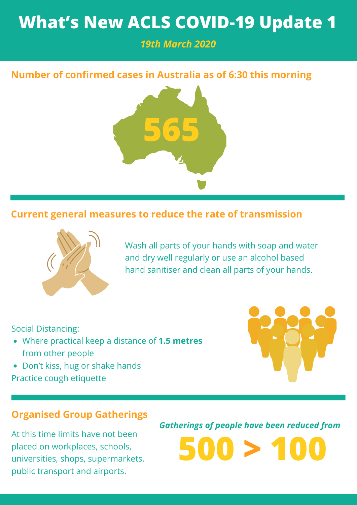# **What's New ACLS COVID-19 Update 1**

# *19th March 2020*

# **Number of confirmed cases in Australia as of 6:30 this morning**



## **Current general measures to reduce the rate of transmission**



Wash all parts of your hands with soap and water and dry well regularly or use an alcohol based hand sanitiser and clean all parts of your hands.

Social Distancing:

- Where practical keep a distance of **1.5 metres** from other people
- Don't kiss, hug or shake hands Practice cough etiquette



### **Organised Group Gatherings**

At this time limits have not been placed on workplaces, schools, universities, shops, supermarkets, public transport and airports.

*Gatherings of people have been reduced from*

**500 > 100**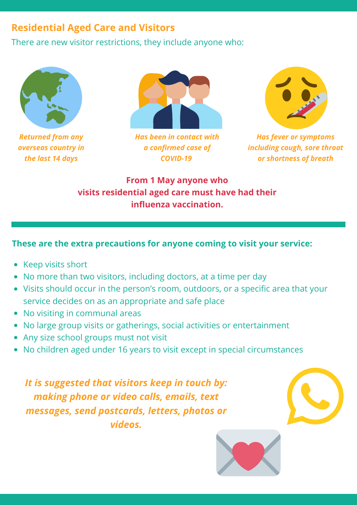# **Residential Aged Care and Visitors**

There are new visitor restrictions, they include anyone who:



*Returned from any overseas country in the last 14 days*



*Has been in contact with a confirmed case of COVID-19*



*Has fever or symptoms including cough, sore throat or shortness of breath*

**From 1 May anyone who visits residential aged care must have had their influenza vaccination.**

#### **These are the extra precautions for anyone coming to visit your service:**

- Keep visits short
- No more than two visitors, including doctors, at a time per day
- Visits should occur in the person's room, outdoors, or a specific area that your service decides on as an appropriate and safe place
- No visiting in communal areas
- No large group visits or gatherings, social activities or entertainment
- Any size school groups must not visit
- No children aged under 16 years to visit except in special circumstances

*It is suggested that visitors keep in touch by: making phone or video calls, emails, text messages, send postcards, letters, photos or videos.*